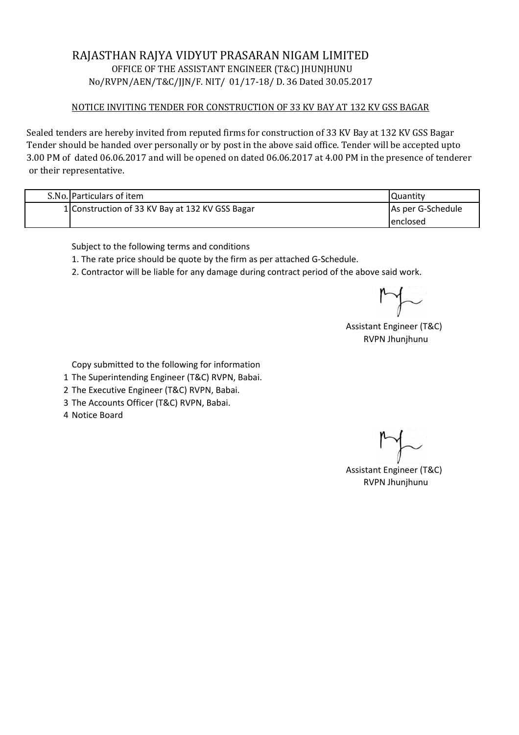## RAJASTHAN RAJYA VIDYUT PRASARAN NIGAM LIMITED OFFICE OF THE ASSISTANT ENGINEER (T&C) JHUNJHUNU No/RVPN/AEN/T&C/JJN/F. NIT/ 01/17-18/ D. 36 Dated 30.05.2017

## NOTICE INVITING TENDER FOR CONSTRUCTION OF 33 KV BAY AT 132 KV GSS BAGAR

Sealed tenders are hereby invited from reputed firms for construction of 33 KV Bay at 132 KV GSS Bagar Tender should be handed over personally or by post in the above said office. Tender will be accepted upto 3.00 PM of dated 06.06.2017 and will be opened on dated 06.06.2017 at 4.00 PM in the presence of tenderer or their representative.

| S.No. Particulars of item                       | Quantity          |
|-------------------------------------------------|-------------------|
| 1 Construction of 33 KV Bay at 132 KV GSS Bagar | As per G-Schedule |
|                                                 | <b>lenclosed</b>  |

Subject to the following terms and conditions

1. The rate price should be quote by the firm as per attached G-Schedule.

2. Contractor will be liable for any damage during contract period of the above said work.

Assistant Engineer (T&C) RVPN Jhunjhunu

Copy submitted to the following for information

- 1 The Superintending Engineer (T&C) RVPN, Babai.
- 2 The Executive Engineer (T&C) RVPN, Babai.
- 3 The Accounts Officer (T&C) RVPN, Babai.
- 4 Notice Board

Assistant Engineer (T&C) RVPN Jhunjhunu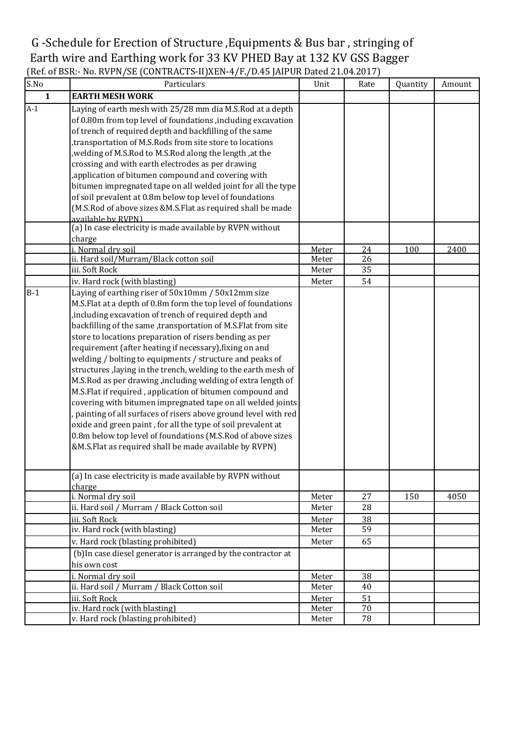## G -Schedule for Erection of Structure ,Equipments & Bus bar , stringing of Earth wire and Earthing work for 33 KV PHED Bay at 132 KV GSS Bagger (Ref. of BSR:- No. RVPN/SE (CONTRACTS-II)XEN-4/F./D.45 JAIPUR Dated 21.04.2017)

| S.No           | Particulars                                                                                                                                                                                                                                                                                                                                                                                                                                                                                                                                                                                                                                                                                                                                                                                                                                                                                                                                                  | Unit                             | Rate                 | Quantity | Amount |
|----------------|--------------------------------------------------------------------------------------------------------------------------------------------------------------------------------------------------------------------------------------------------------------------------------------------------------------------------------------------------------------------------------------------------------------------------------------------------------------------------------------------------------------------------------------------------------------------------------------------------------------------------------------------------------------------------------------------------------------------------------------------------------------------------------------------------------------------------------------------------------------------------------------------------------------------------------------------------------------|----------------------------------|----------------------|----------|--------|
| $\mathbf{1}$   | <b>EARTH MESH WORK</b>                                                                                                                                                                                                                                                                                                                                                                                                                                                                                                                                                                                                                                                                                                                                                                                                                                                                                                                                       |                                  |                      |          |        |
| $A-1$<br>$B-1$ | Laying of earth mesh with 25/28 mm dia M.S.Rod at a depth<br>of 0.80m from top level of foundations , including excavation<br>of trench of required depth and backfilling of the same<br>transportation of M.S.Rods from site store to locations<br>, welding of M.S.Rod to M.S.Rod along the length , at the<br>crossing and with earth electrodes as per drawing<br>, application of bitumen compound and covering with<br>bitumen impregnated tape on all welded joint for all the type<br>of soil prevalent at 0.8m below top level of foundations<br>(M.S.Rod of above sizes &M.S.Flat as required shall be made<br>available by RVPN)<br>(a) In case electricity is made available by RVPN without<br>charge<br>i. Normal dry soil<br>ii. Hard soil/Murram/Black cotton soil<br>iii. Soft Rock<br>iv. Hard rock (with blasting)<br>Laying of earthing riser of 50x10mm / 50x12mm size<br>M.S.Flat at a depth of 0.8m form the top level of foundations | Meter<br>Meter<br>Meter<br>Meter | 24<br>26<br>35<br>54 | 100      | 2400   |
|                | , including excavation of trench of required depth and<br>backfilling of the same ,transportation of M.S.Flat from site<br>store to locations preparation of risers bending as per<br>requirement (after heating if necessary), fixing on and<br>welding / bolting to equipments / structure and peaks of<br>structures, laying in the trench, welding to the earth mesh of<br>M.S.Rod as per drawing, including welding of extra length of<br>M.S.Flat if required, application of bitumen compound and<br>covering with bitumen impregnated tape on all welded joints<br>, painting of all surfaces of risers above ground level with red<br>oxide and green paint, for all the type of soil prevalent at<br>0.8m below top level of foundations (M.S.Rod of above sizes<br>&M.S.Flat as required shall be made available by RVPN)                                                                                                                         |                                  |                      |          |        |
|                | (a) In case electricity is made available by RVPN without<br>charge                                                                                                                                                                                                                                                                                                                                                                                                                                                                                                                                                                                                                                                                                                                                                                                                                                                                                          |                                  |                      |          |        |
|                | i. Normal dry soil                                                                                                                                                                                                                                                                                                                                                                                                                                                                                                                                                                                                                                                                                                                                                                                                                                                                                                                                           | Meter                            | 27                   | 150      | 4050   |
|                | ii. Hard soil / Murram / Black Cotton soil                                                                                                                                                                                                                                                                                                                                                                                                                                                                                                                                                                                                                                                                                                                                                                                                                                                                                                                   | Meter                            | 28                   |          |        |
|                | iii. Soft Rock                                                                                                                                                                                                                                                                                                                                                                                                                                                                                                                                                                                                                                                                                                                                                                                                                                                                                                                                               | Meter                            | 38                   |          |        |
|                | iv. Hard rock (with blasting)                                                                                                                                                                                                                                                                                                                                                                                                                                                                                                                                                                                                                                                                                                                                                                                                                                                                                                                                | Meter                            | 59                   |          |        |
|                | v. Hard rock (blasting prohibited)                                                                                                                                                                                                                                                                                                                                                                                                                                                                                                                                                                                                                                                                                                                                                                                                                                                                                                                           | Meter                            | 65                   |          |        |
|                | (b) In case diesel generator is arranged by the contractor at<br>his own cost                                                                                                                                                                                                                                                                                                                                                                                                                                                                                                                                                                                                                                                                                                                                                                                                                                                                                |                                  |                      |          |        |
|                | i. Normal dry soil                                                                                                                                                                                                                                                                                                                                                                                                                                                                                                                                                                                                                                                                                                                                                                                                                                                                                                                                           | Meter                            | 38                   |          |        |
|                | ii. Hard soil / Murram / Black Cotton soil                                                                                                                                                                                                                                                                                                                                                                                                                                                                                                                                                                                                                                                                                                                                                                                                                                                                                                                   | Meter                            | 40                   |          |        |
|                | iii. Soft Rock                                                                                                                                                                                                                                                                                                                                                                                                                                                                                                                                                                                                                                                                                                                                                                                                                                                                                                                                               | Meter                            | 51                   |          |        |
|                | iv. Hard rock (with blasting)                                                                                                                                                                                                                                                                                                                                                                                                                                                                                                                                                                                                                                                                                                                                                                                                                                                                                                                                | Meter                            | 70                   |          |        |
|                | v. Hard rock (blasting prohibited)                                                                                                                                                                                                                                                                                                                                                                                                                                                                                                                                                                                                                                                                                                                                                                                                                                                                                                                           | Meter                            | 78                   |          |        |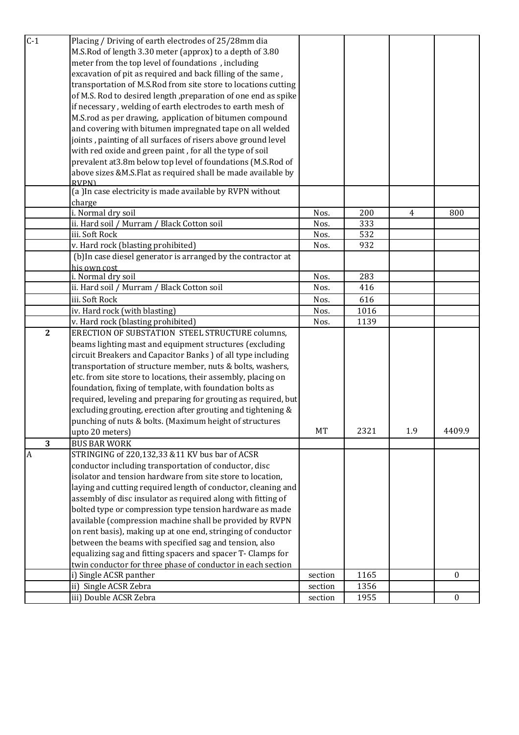| $C-1$            | Placing / Driving of earth electrodes of 25/28mm dia                                                                     |         |      |     |                  |
|------------------|--------------------------------------------------------------------------------------------------------------------------|---------|------|-----|------------------|
|                  | M.S.Rod of length 3.30 meter (approx) to a depth of 3.80                                                                 |         |      |     |                  |
|                  | meter from the top level of foundations, including                                                                       |         |      |     |                  |
|                  | excavation of pit as required and back filling of the same,                                                              |         |      |     |                  |
|                  | transportation of M.S.Rod from site store to locations cutting                                                           |         |      |     |                  |
|                  | of M.S. Rod to desired length , preparation of one end as spike                                                          |         |      |     |                  |
|                  | if necessary, welding of earth electrodes to earth mesh of                                                               |         |      |     |                  |
|                  | M.S.rod as per drawing, application of bitumen compound                                                                  |         |      |     |                  |
|                  | and covering with bitumen impregnated tape on all welded                                                                 |         |      |     |                  |
|                  | joints, painting of all surfaces of risers above ground level                                                            |         |      |     |                  |
|                  |                                                                                                                          |         |      |     |                  |
|                  | with red oxide and green paint, for all the type of soil<br>prevalent at 3.8m below top level of foundations (M.S.Rod of |         |      |     |                  |
|                  |                                                                                                                          |         |      |     |                  |
|                  | above sizes &M.S.Flat as required shall be made available by<br><b>RVPN)</b>                                             |         |      |     |                  |
|                  | (a) In case electricity is made available by RVPN without                                                                |         |      |     |                  |
|                  | charge                                                                                                                   |         |      |     |                  |
|                  | i. Normal dry soil                                                                                                       | Nos.    | 200  | 4   | 800              |
|                  | ii. Hard soil / Murram / Black Cotton soil                                                                               | Nos.    | 333  |     |                  |
|                  | iii. Soft Rock                                                                                                           | Nos.    | 532  |     |                  |
|                  | v. Hard rock (blasting prohibited)                                                                                       | Nos.    | 932  |     |                  |
|                  | (b) In case diesel generator is arranged by the contractor at                                                            |         |      |     |                  |
|                  | his own cost                                                                                                             |         |      |     |                  |
|                  | i. Normal dry soil                                                                                                       | Nos.    | 283  |     |                  |
|                  | ii. Hard soil / Murram / Black Cotton soil                                                                               | Nos.    | 416  |     |                  |
|                  | iii. Soft Rock                                                                                                           | Nos.    | 616  |     |                  |
|                  | iv. Hard rock (with blasting)                                                                                            | Nos.    | 1016 |     |                  |
|                  | v. Hard rock (blasting prohibited)                                                                                       | Nos.    | 1139 |     |                  |
| $\mathbf{2}$     | ERECTION OF SUBSTATION STEEL STRUCTURE columns,                                                                          |         |      |     |                  |
|                  | beams lighting mast and equipment structures (excluding                                                                  |         |      |     |                  |
|                  | circuit Breakers and Capacitor Banks ) of all type including                                                             |         |      |     |                  |
|                  | transportation of structure member, nuts & bolts, washers,                                                               |         |      |     |                  |
|                  | etc. from site store to locations, their assembly, placing on                                                            |         |      |     |                  |
|                  | foundation, fixing of template, with foundation bolts as                                                                 |         |      |     |                  |
|                  | required, leveling and preparing for grouting as required, but                                                           |         |      |     |                  |
|                  | excluding grouting, erection after grouting and tightening &                                                             |         |      |     |                  |
|                  | punching of nuts & bolts. (Maximum height of structures                                                                  |         |      |     |                  |
|                  | upto 20 meters)                                                                                                          | MT      | 2321 | 1.9 | 4409.9           |
| 3                | <b>BUS BAR WORK</b>                                                                                                      |         |      |     |                  |
| $\boldsymbol{A}$ | STRINGING of 220,132,33 &11 KV bus bar of ACSR                                                                           |         |      |     |                  |
|                  | conductor including transportation of conductor, disc                                                                    |         |      |     |                  |
|                  | isolator and tension hardware from site store to location,                                                               |         |      |     |                  |
|                  | laying and cutting required length of conductor, cleaning and                                                            |         |      |     |                  |
|                  | assembly of disc insulator as required along with fitting of                                                             |         |      |     |                  |
|                  | bolted type or compression type tension hardware as made                                                                 |         |      |     |                  |
|                  | available (compression machine shall be provided by RVPN                                                                 |         |      |     |                  |
|                  | on rent basis), making up at one end, stringing of conductor                                                             |         |      |     |                  |
|                  | between the beams with specified sag and tension, also                                                                   |         |      |     |                  |
|                  | equalizing sag and fitting spacers and spacer T- Clamps for                                                              |         |      |     |                  |
|                  | twin conductor for three phase of conductor in each section                                                              |         |      |     |                  |
|                  | i) Single ACSR panther                                                                                                   | section | 1165 |     | $\boldsymbol{0}$ |
|                  | ii) Single ACSR Zebra                                                                                                    | section | 1356 |     |                  |
|                  | iii) Double ACSR Zebra                                                                                                   | section | 1955 |     | $\boldsymbol{0}$ |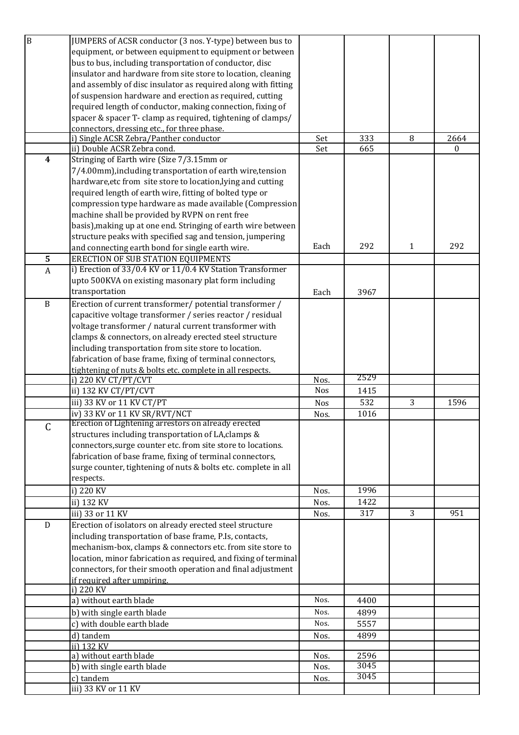| $\overline{B}$          | JUMPERS of ACSR conductor (3 nos. Y-type) between bus to        |              |      |              |          |
|-------------------------|-----------------------------------------------------------------|--------------|------|--------------|----------|
|                         | equipment, or between equipment to equipment or between         |              |      |              |          |
|                         | bus to bus, including transportation of conductor, disc         |              |      |              |          |
|                         | insulator and hardware from site store to location, cleaning    |              |      |              |          |
|                         | and assembly of disc insulator as required along with fitting   |              |      |              |          |
|                         | of suspension hardware and erection as required, cutting        |              |      |              |          |
|                         | required length of conductor, making connection, fixing of      |              |      |              |          |
|                         | spacer & spacer T- clamp as required, tightening of clamps/     |              |      |              |          |
|                         | connectors, dressing etc., for three phase.                     |              |      |              |          |
|                         | i) Single ACSR Zebra/Panther conductor                          | Set          | 333  | 8            | 2664     |
|                         | ii) Double ACSR Zebra cond.                                     | Set          | 665  |              | $\bf{0}$ |
| $\overline{\mathbf{4}}$ | Stringing of Earth wire (Size 7/3.15mm or                       |              |      |              |          |
|                         | 7/4.00mm), including transportation of earth wire, tension      |              |      |              |          |
|                         | hardware, etc from site store to location, lying and cutting    |              |      |              |          |
|                         | required length of earth wire, fitting of bolted type or        |              |      |              |          |
|                         | compression type hardware as made available (Compression        |              |      |              |          |
|                         | machine shall be provided by RVPN on rent free                  |              |      |              |          |
|                         | basis), making up at one end. Stringing of earth wire between   |              |      |              |          |
|                         | structure peaks with specified sag and tension, jumpering       |              |      |              |          |
|                         | and connecting earth bond for single earth wire.                | Each         | 292  | $\mathbf{1}$ | 292      |
| 5                       | ERECTION OF SUB STATION EQUIPMENTS                              |              |      |              |          |
| $\boldsymbol{\rm{A}}$   | i) Erection of 33/0.4 KV or 11/0.4 KV Station Transformer       |              |      |              |          |
|                         | upto 500KVA on existing masonary plat form including            |              |      |              |          |
|                         | transportation                                                  | Each         | 3967 |              |          |
| $\, {\bf B}$            | Erection of current transformer/ potential transformer /        |              |      |              |          |
|                         | capacitive voltage transformer / series reactor / residual      |              |      |              |          |
|                         | voltage transformer / natural current transformer with          |              |      |              |          |
|                         | clamps & connectors, on already erected steel structure         |              |      |              |          |
|                         | including transportation from site store to location.           |              |      |              |          |
|                         | fabrication of base frame, fixing of terminal connectors,       |              |      |              |          |
|                         | tightening of nuts & bolts etc. complete in all respects.       |              |      |              |          |
|                         | i) 220 KV CT/PT/CVT                                             | Nos.         | 2529 |              |          |
|                         | ii) 132 KV CT/PT/CVT                                            | <b>Nos</b>   | 1415 |              |          |
|                         | iii) 33 KV or 11 KV CT/PT                                       | Nos          | 532  | 3            | 1596     |
|                         | iv) 33 KV or 11 KV SR/RVT/NCT                                   | Nos.         | 1016 |              |          |
| $\mathsf C$             | Erection of Lightening arrestors on already erected             |              |      |              |          |
|                         | structures including transportation of LA, clamps &             |              |      |              |          |
|                         | connectors, surge counter etc. from site store to locations.    |              |      |              |          |
|                         | fabrication of base frame, fixing of terminal connectors,       |              |      |              |          |
|                         | surge counter, tightening of nuts & bolts etc. complete in all  |              |      |              |          |
|                         | respects.                                                       |              |      |              |          |
|                         | i) 220 KV                                                       | Nos.         | 1996 |              |          |
|                         | ii) 132 KV                                                      | Nos.         | 1422 |              |          |
|                         | iii) 33 or 11 KV                                                | Nos.         | 317  | 3            | 951      |
| ${\rm D}$               | Erection of isolators on already erected steel structure        |              |      |              |          |
|                         | including transportation of base frame, P.Is, contacts,         |              |      |              |          |
|                         | mechanism-box, clamps & connectors etc. from site store to      |              |      |              |          |
|                         | location, minor fabrication as required, and fixing of terminal |              |      |              |          |
|                         | connectors, for their smooth operation and final adjustment     |              |      |              |          |
|                         | if required after umpiring.                                     |              |      |              |          |
|                         | i) 220 KV                                                       |              |      |              |          |
|                         | a) without earth blade                                          | Nos.         | 4400 |              |          |
|                         | b) with single earth blade                                      | Nos.         | 4899 |              |          |
|                         | c) with double earth blade                                      | Nos.         | 5557 |              |          |
|                         | d) tandem                                                       | Nos.         | 4899 |              |          |
|                         | ii) 132 KV<br>a) without earth blade                            |              | 2596 |              |          |
|                         | b) with single earth blade                                      | Nos.<br>Nos. | 3045 |              |          |
|                         | c) tandem                                                       | Nos.         | 3045 |              |          |
|                         | iii) 33 KV or 11 KV                                             |              |      |              |          |
|                         |                                                                 |              |      |              |          |